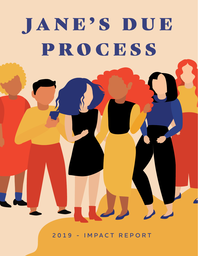# JANE'S DUE PROCESS

**2019 - IMPACT REPORT**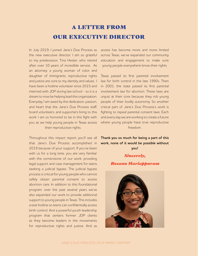# A LETTER FROM OUR EXECUTIVE DIRECTOR

In July 2019, I joined Jane's Due Process as the new executive director. I am so grateful to my predecessor, Tina Hester, who retired after over 10 years of incredible service. As an attorney, a young woman of color and daughter of immigrants, reproductive rights and justice are core to my identity and values. I have been a hotline volunteer since 2015 and interned with JDP during law school - so it is a dream to now be helping lead this organization. Everyday, I am awed by the dedication, passion, and heart that the Jane's Due Process staff, board volunteers, and supporters bring to this work. I am so honored to be in this fight with you as we help young people in Texas access their reproductive rights.

Throughout this impact report you'll see all that Jane's Due Process accomplished in 2019 because of your support. If you've been with us for a long time, you are very familiar with the cornerstone of our work: providing legal support and case management for teens seeking a judicial bypass. The judicial bypass process is critical for young people who cannot safely obtain parental consent to access abortion care. In addition to this foundational program, over the past several years we've also expanded our work to provide additional support to young people in Texas. This includes a text hotline so teens can confidentially access birth control. And a powerful youth leadership program that centers former JDP clients as they become leaders in the movements for reproductive rights and justice. And as

access has become more and more limited across Texas, we've expanded our community education and engagement to make sure young people everywhere know their rights.

Texas passed its first parental involvement law for birth control in the late 1990s. Then in 2001, the state passed its first parental involvement law for abortion. These laws are unjust at their core because they rob young people of their bodily autonomy. So another critical part of Jane's Due Process's work is fighting to repeal parental consent laws. Each and every day we are working to create a future where young people have true reproductive freedom.

**Thank you so much for being a part of this work, none of it would be possible without you!**

#### *Sincerely,*

#### *Rosann Mariappuram*

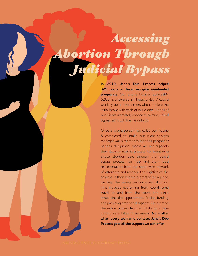# *Accessing Abortion Through Judicial Bypass*

**In 2019, Jane's Due Process helped 325 teens in Texas navigate unintended pregnancy.** Our phone hotline (866-999- 5263) is answered 24 hours a day, 7 days a week by trained volunteers who complete the initial intake with each of our clients. Not all of our clients ultimately choose to pursue judicial bypass, although the majority do.

Once a young person has called our hotline & completed an intake, our client services manager walks them through their pregnancy options, the judicial bypass law, and supports their decision making process. For teens who chose abortion care through the judicial bypass process, we help find them legal representation from our state-wide network of attorneys and manage the logistics of the process. If their bypass is granted by a judge, we help the young person access abortion. This includes everything from coordinating travel to and from the court and clinic, scheduling the appointment, finding funding, and providing emotional support. On average, the entire process from an intake to a Jane getting care takes three weeks. **No matter what, every teen who contacts Jane's Due Process gets all the support we can offer.**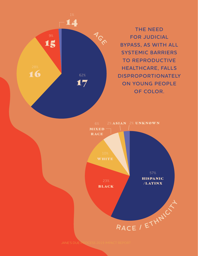**THE NEED FOR JUDICIAL BYPASS, AS WITH ALL SYSTEMIC BARRIERS TO REPRODUCTIVE HEALTHCARE, FALLS DISPROPORTIONATELY ON YOUNG PEOPLE OF COLOR.**



JANE'S DUE PROCESS 2019 IMPACT REPC

17

**AGE**

14

16 62%

15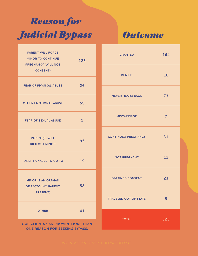# *Reason for Judicial Bypass*

*Outcome*

| <b>PARENT WILL FORCE</b><br><b>MINOR TO CONTINUE</b><br>PREGNANCY (WILL NOT<br><b>CONSENT)</b> | 126          |  |
|------------------------------------------------------------------------------------------------|--------------|--|
| <b>FEAR OF PHYSICAL ABUSE</b>                                                                  | 26           |  |
| <b>OTHER EMOTIONAL ABUSE</b>                                                                   | 59           |  |
| <b>FEAR OF SEXUAL ABUSE</b>                                                                    | $\mathbf{1}$ |  |
| <b>PARENT(S) WILL</b><br><b>KICK OUT MINOR</b>                                                 | 95           |  |
| PARENT UNABLE TO GO TO                                                                         | 19           |  |
| <b>MINOR IS AN ORPHAN</b><br>DE FACTO (NO PARENT<br>PRESENT)                                   | 58           |  |
| <b>OTHER</b>                                                                                   | 41           |  |
| OUR CLIENTS CAN PROVIDE MORE THAN<br>ONE REASON FOR SEEKING BYPASS.                            |              |  |

| <b>GRANTED</b>               | 164 |
|------------------------------|-----|
| <b>DENIED</b>                | 10  |
| <b>NEVER HEARD BACK</b>      | 73  |
| <b>MISCARRIAGE</b>           | 7   |
| <b>CONTINUED PREGNANCY</b>   | 31  |
| <b>NOT PREGNANT</b>          | 12  |
| <b>OBTAINED CONSENT</b>      | 23  |
| <b>TRAVELED OUT OF STATE</b> | 5   |
| <b>TOTAL</b>                 | 325 |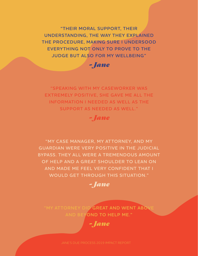**"THEIR MORAL SUPPORT, THEIR UNDERSTANDING, THE WAY THEY EXPLAINED THE PROCEDURE, MAKING SURE I UNDERSOOD EVERYTHING NOT ONLY TO PROVE TO THE JUDGE BUT ALSO FOR MY WELLBEING"**

*- Jane*

**"SPEAKING WITH MY CASEWORKER WAS EXTREMELY POSITIVE, SHE GAVE ME ALL THE INFORMATION I NEEDED AS WELL AS THE SUPPORT AS NEEDED AS WELL."**

*- Jane*

**"MY CASE MANAGER, MY ATTORNEY, AND MY GUARDIAN WERE VERY POSITIVE IN THE JUDICIAL BYPASS. THEY ALL WERE A TREMENDOUS AMOUNT OF HELP AND A GREAT SHOULDER TO LEAN ON AND MADE ME FEEL VERY CONFIDENT THAT I WOULD GET THROUGH THIS SITUATION."** 



**"MY ATTORNEY DID GREAT AND WENT ABOVE AND BEYOND TO HELP ME."**

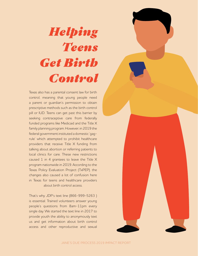# *Helping Teens Get Birth Control*

Texas also has a parental consent law for birth control, meaning that young people need a parent or guardian's permission to obtain prescriptive methods such as the birth control pill or IUD. Teens can get past this barrier by seeking contraceptive care from federally funded programs like Medicaid and the Title X family planning program. However, in 2019 the federal government instituted a domestic 'gagrule' which attempted to prohibit healthcare providers that receive Title X funding from talking about abortion or referring patients to local clinics for care. These new restrictions caused 1 in 4 grantees to leave the Title X program nationwide in 2019. According to the Texas Policy Evaluation Project (TxPEP), the changes also caused a lot of confusion here in Texas for teens and healthcare providers about birth control access.

That's why JDP's text line (866-999-5263 ) is essential. Trained volunteers answer young people's questions from 8am-11pm every single day. We started the text line in 2017 to provide youth the ability to anonymously text us and get information about birth control access and other reproductive and sexual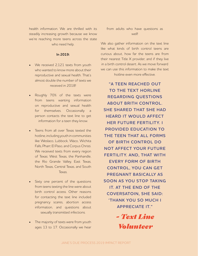health information. We are thrilled with its steadily increasing growth because we know we're reaching more teens across the state who need help.

#### **In 2019:**

- We received 2,121 texts from youth who wanted to know more about their reproductive and sexual health. That's almost double the number of texts we received in 2018!
- Roughly 70% of the texts were from teens wanting information on reproductive and sexual health for themselves. Occasionally a person contacts the text line to get information for a teen they know.
- Teens from all over Texas texted the hotline, including youth in communities like Weslaco, Lubbock, Waco, Wichita Falls, Pharr, El Paso, and Corpus Christi. We received texts from every region of Texas: West Texas, the Panhandle, the Rio Grande Valley, East Texas, North Texas, Central Texas, and South **Texas**
- Sixty one percent of the questions from teens texting the line were about birth control access. Other reasons for contacting the text line included pregnancy scares, abortion access information, and questions about sexually transmitted infections.
- The majority of texts were from youth ages 13 to 17. Occasionally we hear

### from adults who have questions as well!

We also gather information on the text line like what kinds of birth control teens are curious about, how far the teens are from their nearest Title X provider, and if they live in a birth control desert. As we move forward we can use this information to make the text

hotline even more effective.

**"A TEEN REACHED OUT TO THE TEXT HORLINE REGARDING QUESTIONS ABOUT BRITH CONTROL. SHE SHARED THAT SHE HAD HEARD IT WOULD AFFECT HER FUTURE FERTILITY. I PROVIDED EDUCATION TO THE TEEN THAT ALL FORMS OF BIRTH CONTROL DO NOT AFFECT YOUR FUTURE FERTILITY. AND, THAT WITH EVERY FORM OF BIRTH CONTROL, YOU CAN GET PREGNANT BASICALLY AS SOON AS YOU STOP TAKING IT. AT THE END OF THE COVERSATOIN, SHE SAID: 'THANK YOU SO MUCH I APPRECIATE IT."**

> *- Text Line Volunteer*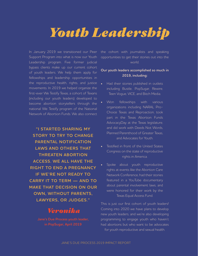# *Youth Leadership*

In January 2019 we transitioned our Peer Support Program into what is now our Youth Leadership program. Five former judicial bypass clients make up our current cohort of youth leaders. We help them apply for fellowships and leadership opportunities in the reproductive health, rights, and justice movements. In 2019 we helped organize the first-ever We Testify Texas, a cohort of Texans (including our youth leaders) developed to become abortion storytellers through the national We Testify program of the National Network of Abortion Funds. We also connect

**"I STARTED SHARING MY STORY TO TRY TO CHANGE PARENTAL NOTIFICATION LAWS AND OTHERS THAT THREATEN ABORTION ACCESS. WE ALL HAVE THE RIGHT TO END A PREGNANCY IF WE'RE NOT READY TO CARRY IT TO TERM — AND TO MAKE THAT DECISION ON OUR OWN, WITHOUT PARENTS, LAWYERS, OR JUDGES."**

# *Veronika*

**in PopSugar, April 2019**

the cohort with journalists and speaking opportunities to get their stories out into the world.

### **Our youth leaders accomplished so much in 2019, including:**

- Had their stories published in outlets including Bustle, PopSugar, Rewire, Teen Vogue, VICE, and Bitch Media.
- Won fellowships with various organizations including NARAL Pro-Choice Texas and Reproaction, took part in the Texas Abortion Funds AdvocacyDay at the Texas legislature, and did work with Deeds Not Words, Planned Parenthood of Greater Texas, and Advocates for Youth.
- Testified in front of the United States Congress on the state of reproductive rights in America.
- Spoke about youth reproductive rights at events like the Abortion Care Network Conference, had their stories featured in a YouTube documentary about parental involvement laws, and were honored for their work by the Texas Equal Access Fund.

This is just our first cohort of youth leaders! Coming into 2020 we have plans to develop new youth leaders, and we're also developing programming to engage youth who haven't had abortions but who want to be advocates for youth reproductive and sexual health.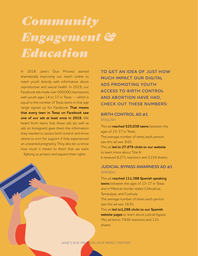# *Community Engagement & Education*

In 2018 Jane's Due Process started dramatically improving our reach online to reach youth directly with information about reproductive and sexual health. In 2019, our Facebook ads made over 500,000 impressions with youth ages 14 to 17 in Texas -- which is equal to the number of Texas teens in that age range signed up for Facebook. **That means that every teen in Texas on Facebook saw one of our ads at least once in 2019.** We heard from teens that these ads (as well as ads on Instagram) gave them the information they needed to access birth control and know where to turn for support if they experienced an unwanted pregnancy. They also let us know how much it meant to them that we were fighting to protect and expand their rights.

**TO GET AN IDEA OF JUST HOW MUCH IMPACT OUR DIGITAL ADS PROMOTING YOUTH ACCESS TO BIRTH CONTROL AND ABORTION HAVE HAD, CHECK OUT THESE NUMBERS:** 

### **BIRTH CONTROL AD #1** ENGLISH

This ad **reached 525,038 teens** between the ages of 13-17 in Texas. The average number of times each person saw this ad was: 8.65. This ad **led to 27,479 clicks to our website** to learn more about Title X. It received 8,271 reactions and 3,234 shares.

### **JUDICIAL BYPASS AWARNESS AD #1 SPANISH**

This ad **reached 111,388 Spanish speaking teens** between the ages of 13-17 in Texas and in Mexican border states Chihuahua, Tamaulipas, and Coahuila. The average number of times each person saw this ad was: 16.91. This ad **led to1,298 clicks to our Spanish website pages** to learn about judicial bypass. This ad led to 7,836 reactions and 115

shares.

JANE'S DUE PROCESS 2019 IMPACT REPORT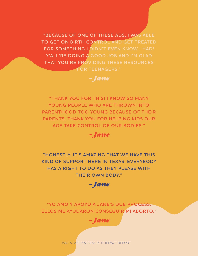**"BECAUSE OF ONE OF THESE ADS, I WAS ABLE TO GET ON BIRTH CONTROL AND GET TREATED FOR SOMETHING I DIDN'T EVEN KNOW I HAD! Y'ALL'RE DOING A GOOD JOB AND I'M GLAD THAT YOU'RE PROVIDING THESE RESOURCES FOR TEENAGERS."** 

# *- Jane*

**"THANK YOU FOR THIS! I KNOW SO MANY YOUNG PEOPLE WHO ARE THROWN INTO PARENTHOOD TOO YOUNG BECAUSE OF THEIR PARENTS. THANK YOU FOR HELPING KIDS OUR AGE TAKE CONTROL OF OUR BODIES."**

*- Jane*

**"HONESTLY, IT'S AMAZING THAT WE HAVE THIS KIND OF SUPPORT HERE IN TEXAS. EVERYBODY HAS A RIGHT TO DO AS THEY PLEASE WITH THEIR OWN BODY."** 



**"YO AMO Y APOYO A JANE'S DUE PROCESS. ELLOS ME AYUDARON CONSEGUIR MI ABORTO."** 



JANE'S DUE PROCESS 2019 IMPACT REPORT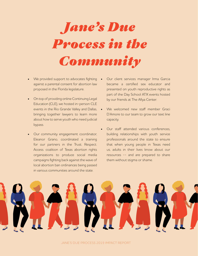

- We provided support to advocates fighting against a parental consent for abortion law proposed in the Florida legislature.
- On top of providing online Continuing Legal Education (CLE), we hosted in-person CLE events in the Rio Grande Valley and Dallas, bringing together lawyers to learn more about how to serve youth who need judicial bypass.
- Our community engagement coordinator, Eleanor Grano, coordinated a training for our partners in the Trust. Respect. Access. coalition of Texas abortion rights organizations to produce social media campaigns fighting back against the wave of local abortion ban ordinances being passed in various communities around the state.
- Our client services manager Irma Garcia became a certified sex educator and presented on youth reproductive rights as part of the Day School ATX events hosted by our friends at The Afiya Center.
- We welcomed new staff member Graci D'Amore to our team to grow our text line capacity.
- Our staff attended various conferences, building relationships with youth service professionals around the state to ensure that when young people in Texas need us, adults in their lives know about our resources -- and are prepared to share them without stigma or shame.

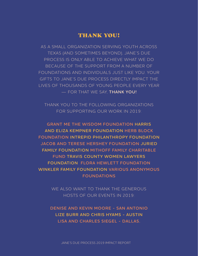# THANK YOU!

AS A SMALL ORGANIZATION SERVING YOUTH ACROSS TEXAS (AND SOMETIMES BEYOND), JANE'S DUE PROCESS IS ONLY ABLE TO ACHIEVE WHAT WE DO BECAUSE OF THE SUPPORT FROM A NUMBER OF FOUNDATIONS AND INDIVIDUALS JUST LIKE YOU. YOUR GIFTS TO JANE'S DUE PROCESS DIRECTLY IMPACT THE LIVES OF THOUSANDS OF YOUNG PEOPLE EVERY YEAR — FOR THAT WE SAY, **THANK YOU!**

THANK YOU TO THE FOLLOWING ORGANIZATIONS FOR SUPPORTING OUR WORK IN 2019:

**GRANT ME THE WISDOM FOUNDATION HARRIS AND ELIZA KEMPNER FOUNDATION HERB BLOCK FOUNDATION INTREPID PHILANTHROPY FOUNDATION JACOB AND TERESE HERSHEY FOUNDATION JURIED FAMILY FOUNDATION MITHOFF FAMILY CHARITABLE FUND TRAVIS COUNTY WOMEN LAWYERS FOUNDATION FLORA HEWLETT FOUNDATION WINKLER FAMILY FOUNDATION VARIOUS ANONYMOUS FOUNDATIONS**

> WE ALSO WANT TO THANK THE GENEROUS HOSTS OF OUR EVENTS IN 2019:

**DENISE AND KEVIN MOORE - SAN ANTONIO LIZE BURR AND CHRIS HYAMS - AUSTIN LISA AND CHARLES SIEGEL - DALLAS.**